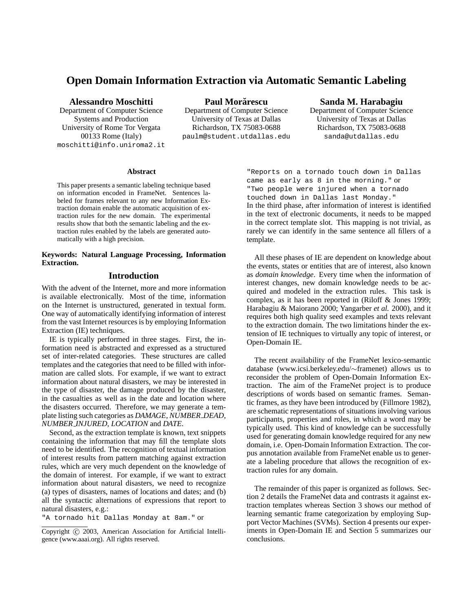# **Open Domain Information Extraction via Automatic Semantic Labeling**

**Alessandro Moschitti**

Department of Computer Science Systems and Production University of Rome Tor Vergata 00133 Rome (Italy) moschitti@info.uniroma2.it

**Paul Morarescu ˘** Department of Computer Science University of Texas at Dallas Richardson, TX 75083-0688 paulm@student.utdallas.edu

# **Sanda M. Harabagiu**

Department of Computer Science University of Texas at Dallas Richardson, TX 75083-0688 sanda@utdallas.edu

#### **Abstract**

This paper presents a semantic labeling technique based on information encoded in FrameNet. Sentences labeled for frames relevant to any new Information Extraction domain enable the automatic acquisition of extraction rules for the new domain. The experimental results show that both the semantic labeling and the extraction rules enabled by the labels are generated automatically with a high precision.

#### **Keywords: Natural Language Processing, Information Extraction.**

# **Introduction**

With the advent of the Internet, more and more information is available electronically. Most of the time, information on the Internet is unstructured, generated in textual form. One way of automatically identifying information of interest from the vast Internet resources is by employing Information Extraction (IE) techniques.

IE is typically performed in three stages. First, the information need is abstracted and expressed as a structured set of inter-related categories. These structures are called templates and the categories that need to be filled with information are called slots. For example, if we want to extract information about natural disasters, we may be interested in the type of disaster, the damage produced by the disaster, in the casualties as well as in the date and location where the disasters occurred. Therefore, we may generate a template listing such categories as *DAMAGE*, *NUMBER DEAD*, *NUMBER INJURED*, *LOCATION* and *DATE*.

Second, as the extraction template is known, text snippets containing the information that may fill the template slots need to be identified. The recognition of textual information of interest results from pattern matching against extraction rules, which are very much dependent on the knowledge of the domain of interest. For example, if we want to extract information about natural disasters, we need to recognize (a) types of disasters, names of locations and dates; and (b) all the syntactic alternations of expressions that report to natural disasters, e.g.:

"A tornado hit Dallas Monday at 8am." or

"Reports on a tornado touch down in Dallas came as early as 8 in the morning." or "Two people were injured when a tornado touched down in Dallas last Monday." In the third phase, after information of interest is identified in the text of electronic documents, it needs to be mapped in the correct template slot. This mapping is not trivial, as rarely we can identify in the same sentence all fillers of a template.

All these phases of IE are dependent on knowledge about the events, states or entities that are of interest, also known as *domain knowledge*. Every time when the information of interest changes, new domain knowledge needs to be acquired and modeled in the extraction rules. This task is complex, as it has been reported in (Riloff & Jones 1999; Harabagiu & Maiorano 2000; Yangarber *et al.* 2000), and it requires both high quality seed examples and texts relevant to the extraction domain. The two limitations hinder the extension of IE techniques to virtually any topic of interest, or Open-Domain IE.

The recent availability of the FrameNet lexico-semantic database (www.icsi.berkeley.edu/∼framenet) allows us to reconsider the problem of Open-Domain Information Extraction. The aim of the FrameNet project is to produce descriptions of words based on semantic frames. Semantic frames, as they have been introduced by (Fillmore 1982), are schematic representations of situations involving various participants, properties and roles, in which a word may be typically used. This kind of knowledge can be successfully used for generating domain knowledge required for any new domain, i.e. Open-Domain Information Extraction. The corpus annotation available from FrameNet enable us to generate a labeling procedure that allows the recognition of extraction rules for any domain.

The remainder of this paper is organized as follows. Section 2 details the FrameNet data and contrasts it against extraction templates whereas Section 3 shows our method of learning semantic frame categorization by employing Support Vector Machines (SVMs). Section 4 presents our experiments in Open-Domain IE and Section 5 summarizes our conclusions.

Copyright (c) 2003, American Association for Artificial Intelligence (www.aaai.org). All rights reserved.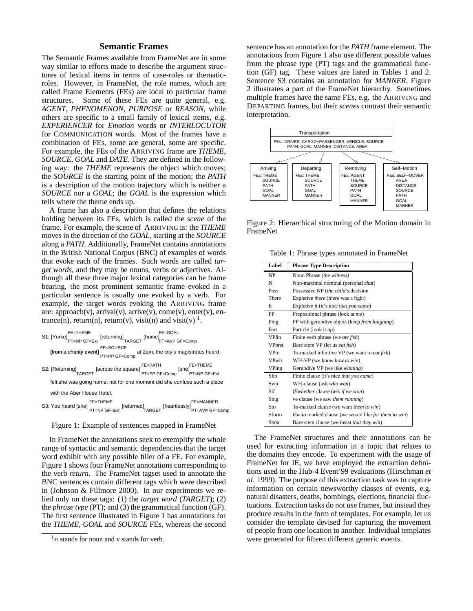# **Semantic Frames**

The Semantic Frames available from FrameNet are in some way similar to efforts made to describe the argument structures of lexical items in terms of case-roles or thematicroles. However, in FrameNet, the role names, which are called Frame Elements (FEs) are local to particular frame structures. Some of these FEs are quite general, e.g. *AGENT*, *PHENOMENON*, *PURPOSE* or *REASON*, while others are specific to a small family of lexical items, e.g. *EXPERIENCER* for *Emotion* words or *INTERLOCUTOR* for COMMUNICATION words. Most of the frames have a combination of FEs, some are general, some are specific. For example, the FEs of the ARRIVING frame are *THEME*, *SOURCE*, *GOAL* and *DATE*. They are defined in the following way: the *THEME* represents the object which moves; the *SOURCE* is the starting point of the motion; the *PATH* is a description of the motion trajectory which is neither a *SOURCE* nor a *GOAL*; the *GOAL* is the expression which tells where the theme ends up.

A frame has also a description that defines the relations holding between its FEs, which is called the *scene* of the frame. For example, the scene of ARRIVING is: the *THEME* moves in the direction of the *GOAL*, starting at the *SOURCE* along a *PATH*. Additionally, FrameNet contains annotations in the British National Corpus (BNC) of examples of words that evoke each of the frames. Such words are called *target words*, and they may be nouns, verbs or adjectives. Although all these three major lexical categories can be frame bearing, the most prominent semantic frame evoked in a particular sentence is usually one evoked by a verb. For example, the target words evoking the ARRIVING frame are: approach(v), arrival(v), arrive(v), come(v), enter(v), entrance(n), return(n), return(v), visit(n) and visit(v)  $^1$ .



Figure 1: Example of sentences mapped in FrameNet

In FrameNet the annotations seek to exemplify the whole range of syntactic and semantic dependencies that the target word exhibit with any possible filler of a FE. For example, Figure 1 shows four FrameNet annotations corresponding to the verb *return*. The FrameNet tagset used to annotate the BNC sentences contain different tags which were described in (Johnson & Fillmore 2000). In our experiments we relied only on these tags: (1) the *target word* (*TARGET*); (2) the *phrase type* (PT); and (3) the grammatical function (GF). The first sentence illustrated in Figure 1 has annotations for the *THEME*, *GOAL* and *SOURCE* FEs, whereas the second

sentence has an annotation for the *PATH* frame element. The annotations from Figure 1 also use different possible values from the phrase type (PT) tags and the grammatical function (GF) tag. These values are listed in Tables 1 and 2. Sentence S3 contains an annotation for *MANNER*. Figure 2 illustrates a part of the FrameNet hierarchy. Sometimes multiple frames have the same FEs, e.g. the ARRIVING and DEPARTING frames, but their *scenes* contrast their semantic interpretation.



Figure 2: Hierarchical structuring of the Motion domain in FrameNet

Table 1: Phrase types annotated in FrameNet

| Label         | <b>Phrase Type Description</b>                         |  |  |
|---------------|--------------------------------------------------------|--|--|
| NP            | Noun Phrase (the witness)                              |  |  |
| N             | Non-maximal nominal (personal <i>chat</i> )            |  |  |
| Poss          | Possessive NP (the child's decision                    |  |  |
| There         | Expletive there (there was a fight)                    |  |  |
| It.           | Expletive <i>it</i> ( <i>it</i> 's nice that you came) |  |  |
| PP            | Prepositional phrase (look at me)                      |  |  |
| Ping          | PP with gerundive object (keep from laughing)          |  |  |
| Part          | Particle (look it up)                                  |  |  |
| VPfin         | Finite verb phrase (we ate fish)                       |  |  |
| <b>VPhrst</b> | Bare stem VP (let us <i>eat fish</i> )                 |  |  |
| <b>VPto</b>   | To-marked infinitive VP (we want to <i>eat fish</i> )  |  |  |
| VPwh          | WH-VP (we know how to win)                             |  |  |
| VPing         | Gerundive VP (we like winning)                         |  |  |
| Sfin          | Finite clause (it's nice that you came)                |  |  |
| Swh           | WH-clause (ask who won)                                |  |  |
| Sif           | If/whether clause (ask if we won)                      |  |  |
| Sing          | ve clause (we saw <i>them running</i> )                |  |  |
| Sto           | To-marked clause (we want <i>them to win</i> )         |  |  |
| Sforto        | For-to marked clause (we would like for them to win)   |  |  |
| Sbrst         | Bare stem clause (we insist that they win)             |  |  |

The FrameNet structures and their annotations can be used for extracting information in a topic that relates to the domains they encode. To experiment with the usage of FrameNet for IE, we have employed the extraction definitions used in the Hub-4 Event'99 evaluations (Hirschman *et al.* 1999). The purpose of this extraction task was to capture information on certain newsworthy classes of events, e.g. natural disasters, deaths, bombings, elections, financial fluctuations. Extraction tasks do not use frames, but instead they produce results in the form of templates. For example, let us consider the template devised for capturing the movement of people from one location to another. Individual templates were generated for fifteen different generic events.

 $1n$  stands for noun and v stands for verb.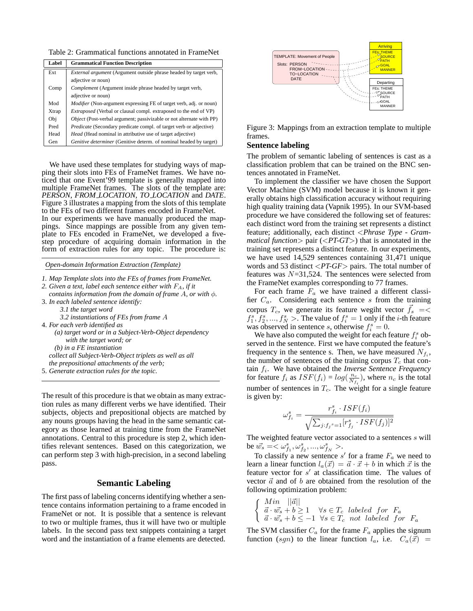Table 2: Grammatical functions annotated in FrameNet

| Label | <b>Grammatical Function Description</b>                                     |  |  |
|-------|-----------------------------------------------------------------------------|--|--|
| Ext   | <i>External argument</i> (Argument outside phrase headed by target verb,    |  |  |
|       | adjective or noun)                                                          |  |  |
| Comp  | <i>Complement</i> (Argument inside phrase headed by target verb,            |  |  |
|       | adjective or noun)                                                          |  |  |
| Mod   | <i>Modifier</i> (Non-argument expressing FE of target verb, adj. or noun)   |  |  |
| Xtrap | <i>Extraposed</i> (Verbal or clausal compl. extraposed to the end of VP)    |  |  |
| Obj   | <i>Object</i> (Post-verbal argument; passivizable or not alternate with PP) |  |  |
| Pred  | Predicate (Secondary predicate compl. of target verb or adjective)          |  |  |
| Head  | Head (Head nominal in attributive use of target adjective)                  |  |  |
| Gen   | Genitive determiner (Genitive determ. of nominal headed by target)          |  |  |

We have used these templates for studying ways of mapping their slots into FEs of FrameNet frames. We have noticed that one Event'99 template is generally mapped into multiple FrameNet frames. The slots of the template are: *PERSON*, *FROM LOCATION*, *TO LOCATION* and *DATE*. Figure 3 illustrates a mapping from the slots of this template to the FEs of two different frames encoded in FrameNet. In our experiments we have manually produced the mappings. Since mappings are possible from any given template to FEs encoded in FrameNet, we developed a fivestep procedure of acquiring domain information in the form of extraction rules for any topic. The procedure is:

*Open-domain Information Extraction (Template)*

- *1. Map Template slots into the FEs of frames from FrameNet.*
- *2. Given a text, label each sentence either with* FA*, if it*
- *contains information from the domain of frame* A*, or with* φ*.* 3. *In each labeled sentence identify:*
	- *3.1 the target word*
	- *3.2 instantiations of FEs from frame* A
- 4. *For each verb identified as*
	- *(a) target word or in a Subject-Verb-Object dependency with the target word; or*

*(b) in a FE instantiation*

*collect all Subject-Verb-Object triplets as well as all the prepositional attachments of the verb;*

5. *Generate extraction rules for the topic*.

The result of this procedure is that we obtain as many extraction rules as many different verbs we have identified. Their subjects, objects and prepositional objects are matched by any nouns groups having the head in the same semantic category as those learned at training time from the FrameNet annotations. Central to this procedure is step 2, which identifies relevant sentences. Based on this categorization, we can perform step 3 with high-precision, in a second labeling pass.

# **Semantic Labeling**

The first pass of labeling concerns identifying whether a sentence contains information pertaining to a frame encoded in FrameNet or not. It is possible that a sentence is relevant to two or multiple frames, thus it will have two or multiple labels. In the second pass text snippets containing a target word and the instantiation of a frame elements are detected.



Figure 3: Mappings from an extraction template to multiple frames.

#### **Sentence labeling**

The problem of semantic labeling of sentences is cast as a classification problem that can be trained on the BNC sentences annotated in FrameNet.

To implement the classifier we have chosen the Support Vector Machine (SVM) model because it is known it generally obtains high classification accuracy without requiring high quality training data (Vapnik 1995). In our SVM-based procedure we have considered the following set of features: each distinct word from the training set represents a distinct feature; additionally, each distinct <*Phrase Type - Grammatical function*> pair (<*PT-GT*>) that is annotated in the training set represents a distinct feature. In our experiments, we have used 14,529 sentences containing 31,471 unique words and 53 distinct <*PT-GF*> pairs. The total number of features was  $N=31,524$ . The sentences were selected from the FrameNet examples corresponding to 77 frames.

For each frame  $F_a$  we have trained a different classifier  $C_a$ . Considering each sentence s from the training corpus  $T_c$ , we generate its feature wegiht vector  $\vec{f}_s$  =<  $f_1^s, f_2^s, ..., f_N^s$  >. The value of  $f_i^s = 1$  only if the *i*-th feature was observed in sentence s, otherwise  $f_i^s = 0$ .

We have also computed the weight for each feature  $f_i^s$  observed in the sentence. First we have computed the feature's frequency in the sentence s. Then, we have measured  $N_{f_i}$ , the number of sentences of the training corpus  $T_c$  that contain  $f_i$ . We have obtained the *Inverse Sentence Frequency* for feature  $f_i$  as  $ISF(f_i) = log(\frac{n_c}{N_{f_i}})$ , where  $n_c$  is the total number of sentences in  $T_c$ . The weight for a single feature is given by:

$$
\omega_{f_i}^s = \frac{r_{f_i}^s \cdot ISF(f_i)}{\sqrt{\sum_{j:f_j^s=1} [r_{f_j}^s \cdot ISF(f_j)]^2}}
$$

The weighted feature vector associated to a sentences s will be  $\vec{w_s} = \langle \omega_{f_1}^s, \omega_{f_2}^s, ..., \omega_{f_N}^s \rangle$ .

To classify a new sentence  $s'$  for a frame  $F_a$  we need to learn a linear function  $l_a(\vec{x}) = \vec{a} \cdot \vec{x} + b$  in which  $\vec{x}$  is the feature vector for  $s'$  at classification time. The values of vector  $\vec{a}$  and of b are obtained from the resolution of the following optimization problem:

$$
\begin{cases}\n\begin{array}{c}\nMin \|\vec{a}\| \\
\vec{a} \cdot \vec{w_s} + b \ge 1 \\
\vec{a} \cdot \vec{w_s} + b \le -1 \quad \forall s \in T_c \text{ labeled for } F_a \\
\end{array} \\
\end{cases}
$$

The SVM classifier  $C_a$  for the frame  $F_a$  applies the signum function (sgn) to the linear function  $l_a$ , i.e.  $C_a(\vec{x})$  =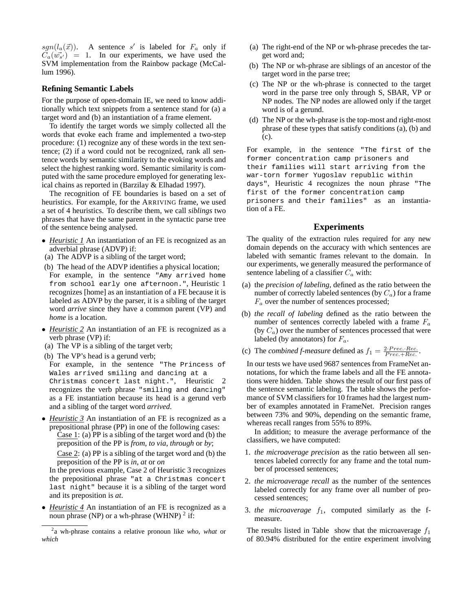sgn( $l_a(\vec{x})$ ). A sentence s' is labeled for  $F_a$  only if  $C_a(w_{s}^{\dagger}) = 1$ . In our experiments, we have used the SVM implementation from the Rainbow package (McCallum 1996).

### **Refining Semantic Labels**

For the purpose of open-domain IE, we need to know additionally which text snippets from a sentence stand for (a) a target word and (b) an instantiation of a frame element.

To identify the target words we simply collected all the words that evoke each frame and implemented a two-step procedure: (1) recognize any of these words in the text sentence; (2) if a word could not be recognized, rank all sentence words by semantic similarity to the evoking words and select the highest ranking word. Semantic similarity is computed with the same procedure employed for generating lexical chains as reported in (Barzilay & Elhadad 1997).

The recognition of FE boundaries is based on a set of heuristics. For example, for the ARRIVING frame, we used a set of 4 heuristics. To describe them, we call *siblings* two phrases that have the same parent in the syntactic parse tree of the sentence being analysed.

- *Heuristic 1* An instantiation of an FE is recognized as an adverbial phrase (ADVP) if:
- (a) The ADVP is a sibling of the target word;
- (b) The head of the ADVP identifies a physical location; For example, in the sentence "Amy arrived home from school early one afternoon.", Heuristic 1 recognizes [home] as an instantiation of a FE because it is labeled as ADVP by the parser, it is a sibling of the target word *arrive* since they have a common parent (VP) and *home* is a location.
- *Heuristic 2* An instantiation of an FE is recognized as a verb phrase (VP) if:
- (a) The VP is a sibling of the target verb;
- (b) The VP's head is a gerund verb;

For example, in the sentence "The Princess of Wales arrived smiling and dancing at a Christmas concert last night.", Heuristic 2 recognizes the verb phrase "smiling and dancing" as a FE instantiation because its head is a gerund verb and a sibling of the target word *arrived*.

• *Heuristic 3* An instantiation of an FE is recognized as a prepositional phrase (PP) in one of the following cases: Case 1: (a) PP is a sibling of the target word and (b) the preposition of the PP is *from*, *to via*, *through* or *by*; Case 2: (a) PP is a sibling of the target word and (b) the preposition of the PP is *in*, *at* or *on*

In the previous example, Case 2 of Heuristic 3 recognizes the prepositional phrase "at a Christmas concert last night" because it is a sibling of the target word and its preposition is *at*.

• *Heuristic 4* An instantiation of an FE is recognized as a noun phrase (NP) or a wh-phrase (WHNP)  $2$  if:

- (a) The right-end of the NP or wh-phrase precedes the target word and;
- (b) The NP or wh-phrase are siblings of an ancestor of the target word in the parse tree;
- (c) The NP or the wh-phrase is connected to the target word in the parse tree only through S, SBAR, VP or NP nodes. The NP nodes are allowed only if the target word is of a gerund.
- (d) The NP or the wh-phrase is the top-most and right-most phrase of these types that satisfy conditions (a), (b) and (c).

For example, in the sentence "The first of the former concentration camp prisoners and their families will start arriving from the war-torn former Yugoslav republic within days", Heuristic 4 recognizes the noun phrase "The first of the former concentration camp prisoners and their families" as an instantiation of a FE.

#### **Experiments**

The quality of the extraction rules required for any new domain depends on the accuracy with which sentences are labeled with semantic frames relevant to the domain. In our experiments, we generally measured the performance of sentence labeling of a classifier  $C_a$  with:

- (a) the *precision of labeling*, defined as the ratio between the number of correctly labeled sentences (by  $C_a$ ) for a frame  $F_a$  over the number of sentences processed;
- (b) *the recall of labeling* defined as the ratio between the number of sentences correctly labeled with a frame  $F_a$ (by  $C_a$ ) over the number of sentences processed that were labeled (by annotators) for  $F_a$ .
- (c) The *combined f-measure* defined as  $f_1 = \frac{2 \cdot Prec \cdot Rec}{Prec + Rec}$ .

In our tests we have used 9687 sentences from FrameNet annotations, for which the frame labels and all the FE annotations were hidden. Table shows the result of our first pass of the sentence semantic labeling. The table shows the performance of SVM classifiers for 10 frames had the largest number of examples annotated in FrameNet. Precision ranges between 73% and 90%, depending on the semantic frame, whereas recall ranges from 55% to 89%.

In addition; to measure the average performance of the classifiers, we have computed:

- 1. *the microaverage precision* as the ratio between all sentences labeled correctly for any frame and the total number of processed sentences;
- 2. *the microaverage recall* as the number of the sentences labeled correctly for any frame over all number of processed sentences;
- 3. *the microaverage*  $f_1$ , computed similarly as the fmeasure.

The results listed in Table show that the microaverage  $f_1$ of 80.94% distributed for the entire experiment involving

<sup>2</sup> a wh-phrase contains a relative pronoun like *who*, *what* or *which*